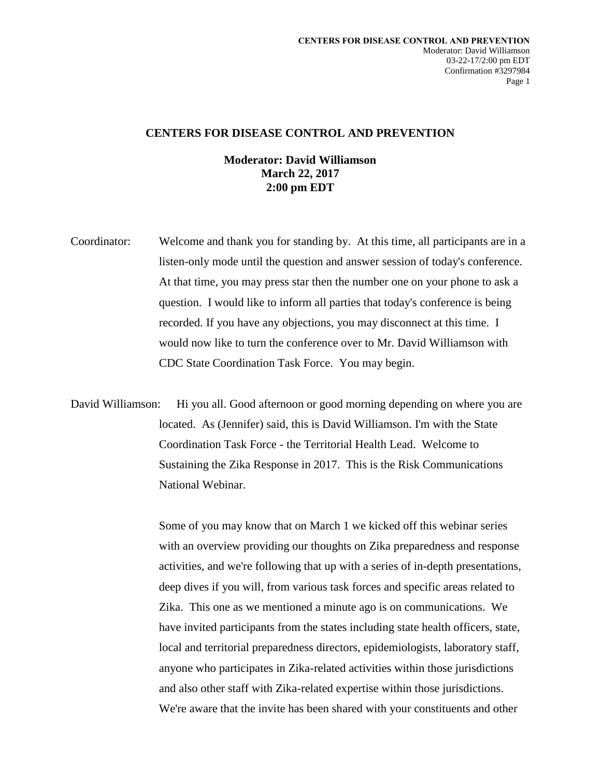## **CENTERS FOR DISEASE CONTROL AND PREVENTION**

## **Moderator: David Williamson March 22, 2017 2:00 pm EDT**

- Coordinator: Welcome and thank you for standing by. At this time, all participants are in a listen-only mode until the question and answer session of today's conference. At that time, you may press star then the number one on your phone to ask a question. I would like to inform all parties that today's conference is being recorded. If you have any objections, you may disconnect at this time. I would now like to turn the conference over to Mr. David Williamson with CDC State Coordination Task Force. You may begin.
- David Williamson: Hi you all. Good afternoon or good morning depending on where you are located. As (Jennifer) said, this is David Williamson. I'm with the State Coordination Task Force - the Territorial Health Lead. Welcome to Sustaining the Zika Response in 2017. This is the Risk Communications National Webinar.

Some of you may know that on March 1 we kicked off this webinar series with an overview providing our thoughts on Zika preparedness and response activities, and we're following that up with a series of in-depth presentations, deep dives if you will, from various task forces and specific areas related to Zika. This one as we mentioned a minute ago is on communications. We have invited participants from the states including state health officers, state, local and territorial preparedness directors, epidemiologists, laboratory staff, anyone who participates in Zika-related activities within those jurisdictions and also other staff with Zika-related expertise within those jurisdictions. We're aware that the invite has been shared with your constituents and other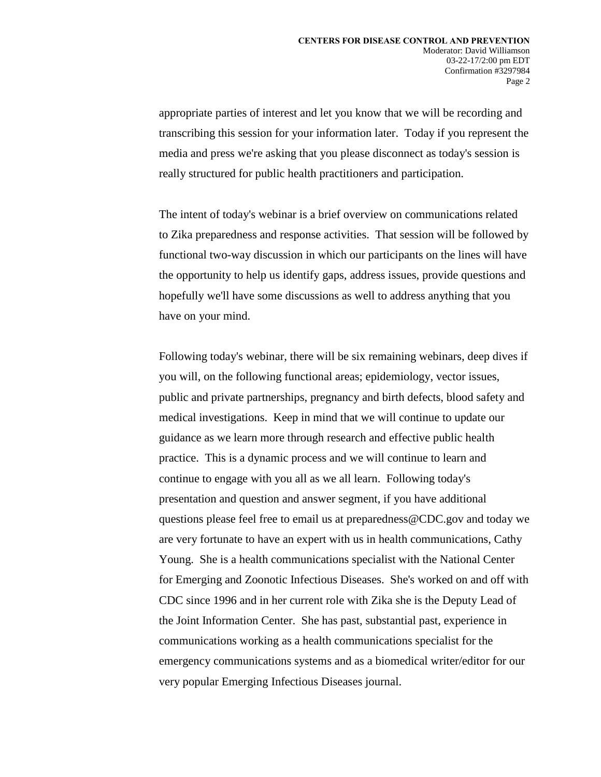appropriate parties of interest and let you know that we will be recording and transcribing this session for your information later. Today if you represent the media and press we're asking that you please disconnect as today's session is really structured for public health practitioners and participation.

The intent of today's webinar is a brief overview on communications related to Zika preparedness and response activities. That session will be followed by functional two-way discussion in which our participants on the lines will have the opportunity to help us identify gaps, address issues, provide questions and hopefully we'll have some discussions as well to address anything that you have on your mind.

Following today's webinar, there will be six remaining webinars, deep dives if you will, on the following functional areas; epidemiology, vector issues, public and private partnerships, pregnancy and birth defects, blood safety and medical investigations. Keep in mind that we will continue to update our guidance as we learn more through research and effective public health practice. This is a dynamic process and we will continue to learn and continue to engage with you all as we all learn. Following today's presentation and question and answer segment, if you have additional questions please feel free to email us at preparedness@CDC.gov and today we are very fortunate to have an expert with us in health communications, Cathy Young. She is a health communications specialist with the National Center for Emerging and Zoonotic Infectious Diseases. She's worked on and off with CDC since 1996 and in her current role with Zika she is the Deputy Lead of the Joint Information Center. She has past, substantial past, experience in communications working as a health communications specialist for the emergency communications systems and as a biomedical writer/editor for our very popular Emerging Infectious Diseases journal.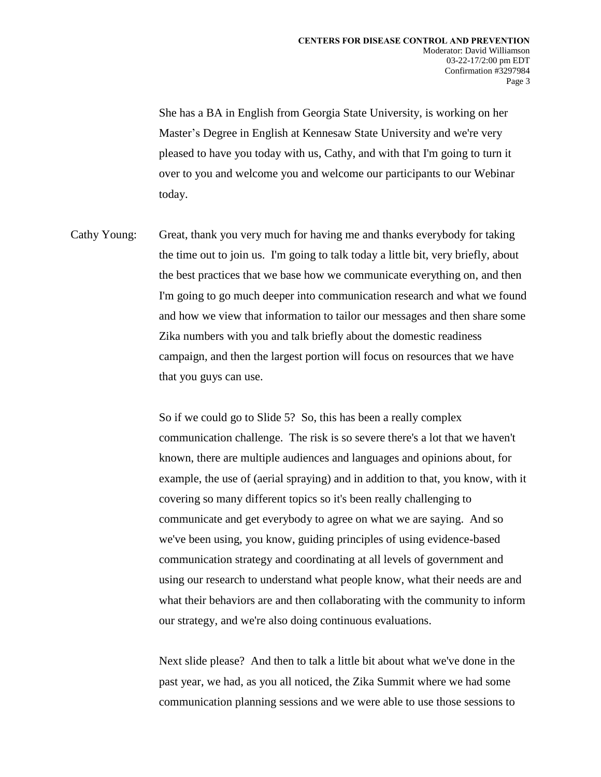She has a BA in English from Georgia State University, is working on her Master's Degree in English at Kennesaw State University and we're very pleased to have you today with us, Cathy, and with that I'm going to turn it over to you and welcome you and welcome our participants to our Webinar today.

Cathy Young: Great, thank you very much for having me and thanks everybody for taking the time out to join us. I'm going to talk today a little bit, very briefly, about the best practices that we base how we communicate everything on, and then I'm going to go much deeper into communication research and what we found and how we view that information to tailor our messages and then share some Zika numbers with you and talk briefly about the domestic readiness campaign, and then the largest portion will focus on resources that we have that you guys can use.

> So if we could go to Slide 5? So, this has been a really complex communication challenge. The risk is so severe there's a lot that we haven't known, there are multiple audiences and languages and opinions about, for example, the use of (aerial spraying) and in addition to that, you know, with it covering so many different topics so it's been really challenging to communicate and get everybody to agree on what we are saying. And so we've been using, you know, guiding principles of using evidence-based communication strategy and coordinating at all levels of government and using our research to understand what people know, what their needs are and what their behaviors are and then collaborating with the community to inform our strategy, and we're also doing continuous evaluations.

Next slide please? And then to talk a little bit about what we've done in the past year, we had, as you all noticed, the Zika Summit where we had some communication planning sessions and we were able to use those sessions to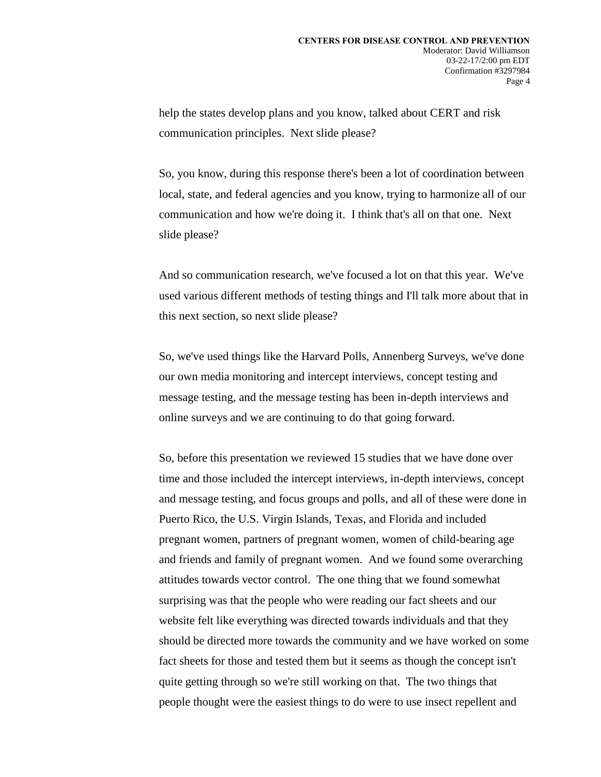help the states develop plans and you know, talked about CERT and risk communication principles. Next slide please?

So, you know, during this response there's been a lot of coordination between local, state, and federal agencies and you know, trying to harmonize all of our communication and how we're doing it. I think that's all on that one. Next slide please?

And so communication research, we've focused a lot on that this year. We've used various different methods of testing things and I'll talk more about that in this next section, so next slide please?

So, we've used things like the Harvard Polls, Annenberg Surveys, we've done our own media monitoring and intercept interviews, concept testing and message testing, and the message testing has been in-depth interviews and online surveys and we are continuing to do that going forward.

So, before this presentation we reviewed 15 studies that we have done over time and those included the intercept interviews, in-depth interviews, concept and message testing, and focus groups and polls, and all of these were done in Puerto Rico, the U.S. Virgin Islands, Texas, and Florida and included pregnant women, partners of pregnant women, women of child-bearing age and friends and family of pregnant women. And we found some overarching attitudes towards vector control. The one thing that we found somewhat surprising was that the people who were reading our fact sheets and our website felt like everything was directed towards individuals and that they should be directed more towards the community and we have worked on some fact sheets for those and tested them but it seems as though the concept isn't quite getting through so we're still working on that. The two things that people thought were the easiest things to do were to use insect repellent and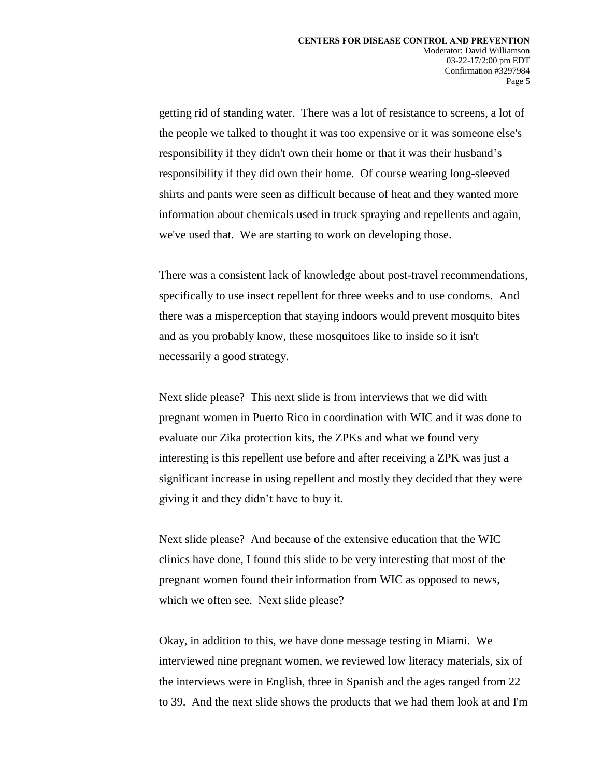getting rid of standing water. There was a lot of resistance to screens, a lot of the people we talked to thought it was too expensive or it was someone else's responsibility if they didn't own their home or that it was their husband's responsibility if they did own their home. Of course wearing long-sleeved shirts and pants were seen as difficult because of heat and they wanted more information about chemicals used in truck spraying and repellents and again, we've used that. We are starting to work on developing those.

There was a consistent lack of knowledge about post-travel recommendations, specifically to use insect repellent for three weeks and to use condoms. And there was a misperception that staying indoors would prevent mosquito bites and as you probably know, these mosquitoes like to inside so it isn't necessarily a good strategy.

Next slide please? This next slide is from interviews that we did with pregnant women in Puerto Rico in coordination with WIC and it was done to evaluate our Zika protection kits, the ZPKs and what we found very interesting is this repellent use before and after receiving a ZPK was just a significant increase in using repellent and mostly they decided that they were giving it and they didn't have to buy it.

Next slide please? And because of the extensive education that the WIC clinics have done, I found this slide to be very interesting that most of the pregnant women found their information from WIC as opposed to news, which we often see. Next slide please?

Okay, in addition to this, we have done message testing in Miami. We interviewed nine pregnant women, we reviewed low literacy materials, six of the interviews were in English, three in Spanish and the ages ranged from 22 to 39. And the next slide shows the products that we had them look at and I'm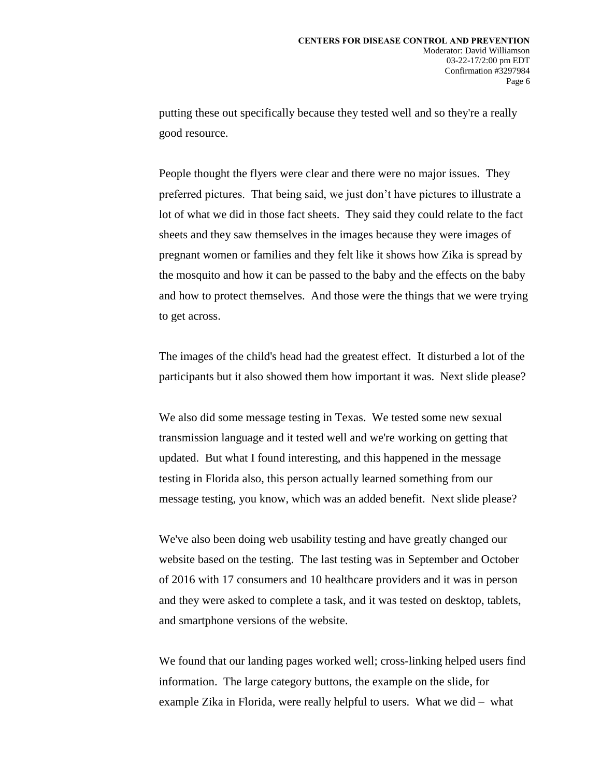putting these out specifically because they tested well and so they're a really good resource.

People thought the flyers were clear and there were no major issues. They preferred pictures. That being said, we just don't have pictures to illustrate a lot of what we did in those fact sheets. They said they could relate to the fact sheets and they saw themselves in the images because they were images of pregnant women or families and they felt like it shows how Zika is spread by the mosquito and how it can be passed to the baby and the effects on the baby and how to protect themselves. And those were the things that we were trying to get across.

The images of the child's head had the greatest effect. It disturbed a lot of the participants but it also showed them how important it was. Next slide please?

We also did some message testing in Texas. We tested some new sexual transmission language and it tested well and we're working on getting that updated. But what I found interesting, and this happened in the message testing in Florida also, this person actually learned something from our message testing, you know, which was an added benefit. Next slide please?

We've also been doing web usability testing and have greatly changed our website based on the testing. The last testing was in September and October of 2016 with 17 consumers and 10 healthcare providers and it was in person and they were asked to complete a task, and it was tested on desktop, tablets, and smartphone versions of the website.

We found that our landing pages worked well; cross-linking helped users find information. The large category buttons, the example on the slide, for example Zika in Florida, were really helpful to users. What we did – what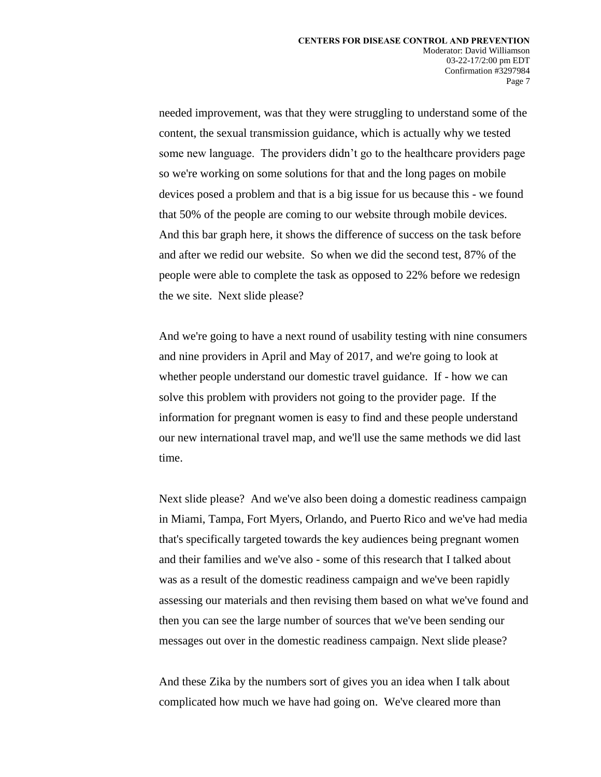needed improvement, was that they were struggling to understand some of the content, the sexual transmission guidance, which is actually why we tested some new language. The providers didn't go to the healthcare providers page so we're working on some solutions for that and the long pages on mobile devices posed a problem and that is a big issue for us because this - we found that 50% of the people are coming to our website through mobile devices. And this bar graph here, it shows the difference of success on the task before and after we redid our website. So when we did the second test, 87% of the people were able to complete the task as opposed to 22% before we redesign the we site. Next slide please?

And we're going to have a next round of usability testing with nine consumers and nine providers in April and May of 2017, and we're going to look at whether people understand our domestic travel guidance. If - how we can solve this problem with providers not going to the provider page. If the information for pregnant women is easy to find and these people understand our new international travel map, and we'll use the same methods we did last time.

Next slide please? And we've also been doing a domestic readiness campaign in Miami, Tampa, Fort Myers, Orlando, and Puerto Rico and we've had media that's specifically targeted towards the key audiences being pregnant women and their families and we've also - some of this research that I talked about was as a result of the domestic readiness campaign and we've been rapidly assessing our materials and then revising them based on what we've found and then you can see the large number of sources that we've been sending our messages out over in the domestic readiness campaign. Next slide please?

And these Zika by the numbers sort of gives you an idea when I talk about complicated how much we have had going on. We've cleared more than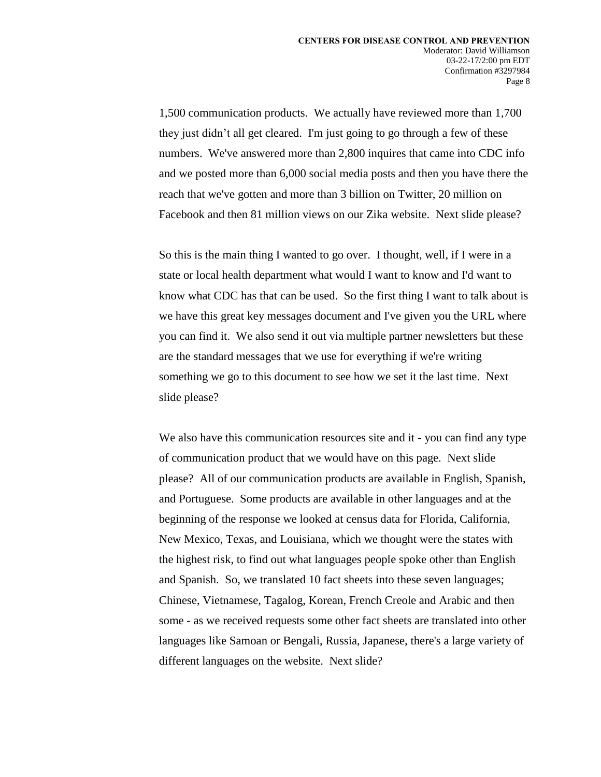1,500 communication products. We actually have reviewed more than 1,700 they just didn't all get cleared. I'm just going to go through a few of these numbers. We've answered more than 2,800 inquires that came into CDC info and we posted more than 6,000 social media posts and then you have there the reach that we've gotten and more than 3 billion on Twitter, 20 million on Facebook and then 81 million views on our Zika website. Next slide please?

So this is the main thing I wanted to go over. I thought, well, if I were in a state or local health department what would I want to know and I'd want to know what CDC has that can be used. So the first thing I want to talk about is we have this great key messages document and I've given you the URL where you can find it. We also send it out via multiple partner newsletters but these are the standard messages that we use for everything if we're writing something we go to this document to see how we set it the last time. Next slide please?

We also have this communication resources site and it - you can find any type of communication product that we would have on this page. Next slide please? All of our communication products are available in English, Spanish, and Portuguese. Some products are available in other languages and at the beginning of the response we looked at census data for Florida, California, New Mexico, Texas, and Louisiana, which we thought were the states with the highest risk, to find out what languages people spoke other than English and Spanish. So, we translated 10 fact sheets into these seven languages; Chinese, Vietnamese, Tagalog, Korean, French Creole and Arabic and then some - as we received requests some other fact sheets are translated into other languages like Samoan or Bengali, Russia, Japanese, there's a large variety of different languages on the website. Next slide?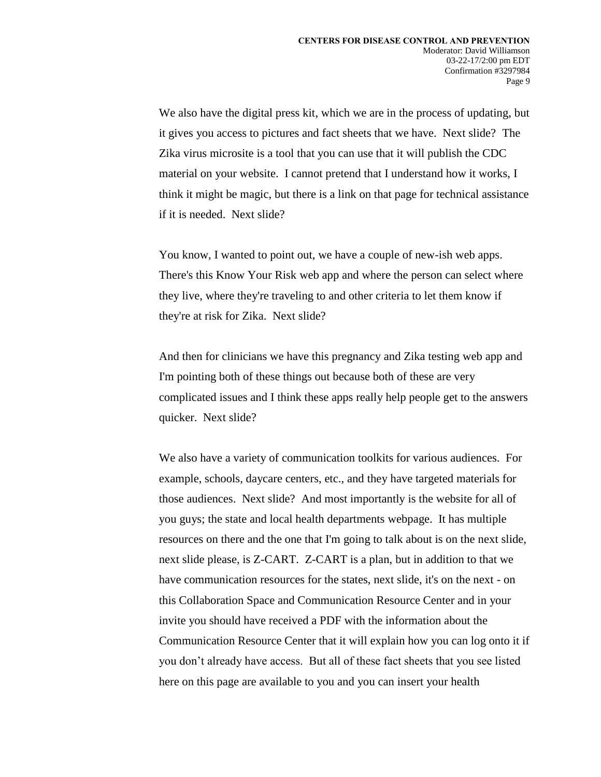We also have the digital press kit, which we are in the process of updating, but it gives you access to pictures and fact sheets that we have. Next slide? The Zika virus microsite is a tool that you can use that it will publish the CDC material on your website. I cannot pretend that I understand how it works, I think it might be magic, but there is a link on that page for technical assistance if it is needed. Next slide?

You know, I wanted to point out, we have a couple of new-ish web apps. There's this Know Your Risk web app and where the person can select where they live, where they're traveling to and other criteria to let them know if they're at risk for Zika. Next slide?

And then for clinicians we have this pregnancy and Zika testing web app and I'm pointing both of these things out because both of these are very complicated issues and I think these apps really help people get to the answers quicker. Next slide?

We also have a variety of communication toolkits for various audiences. For example, schools, daycare centers, etc., and they have targeted materials for those audiences. Next slide? And most importantly is the website for all of you guys; the state and local health departments webpage. It has multiple resources on there and the one that I'm going to talk about is on the next slide, next slide please, is Z-CART. Z-CART is a plan, but in addition to that we have communication resources for the states, next slide, it's on the next - on this Collaboration Space and Communication Resource Center and in your invite you should have received a PDF with the information about the Communication Resource Center that it will explain how you can log onto it if you don't already have access. But all of these fact sheets that you see listed here on this page are available to you and you can insert your health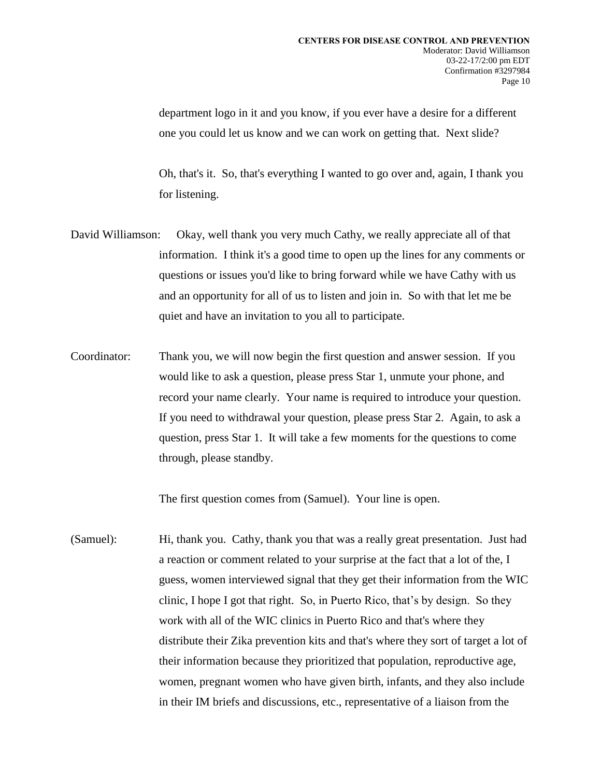department logo in it and you know, if you ever have a desire for a different one you could let us know and we can work on getting that. Next slide?

Oh, that's it. So, that's everything I wanted to go over and, again, I thank you for listening.

- David Williamson: Okay, well thank you very much Cathy, we really appreciate all of that information. I think it's a good time to open up the lines for any comments or questions or issues you'd like to bring forward while we have Cathy with us and an opportunity for all of us to listen and join in. So with that let me be quiet and have an invitation to you all to participate.
- Coordinator: Thank you, we will now begin the first question and answer session. If you would like to ask a question, please press Star 1, unmute your phone, and record your name clearly. Your name is required to introduce your question. If you need to withdrawal your question, please press Star 2. Again, to ask a question, press Star 1. It will take a few moments for the questions to come through, please standby.

The first question comes from (Samuel). Your line is open.

(Samuel): Hi, thank you. Cathy, thank you that was a really great presentation. Just had a reaction or comment related to your surprise at the fact that a lot of the, I guess, women interviewed signal that they get their information from the WIC clinic, I hope I got that right. So, in Puerto Rico, that's by design. So they work with all of the WIC clinics in Puerto Rico and that's where they distribute their Zika prevention kits and that's where they sort of target a lot of their information because they prioritized that population, reproductive age, women, pregnant women who have given birth, infants, and they also include in their IM briefs and discussions, etc., representative of a liaison from the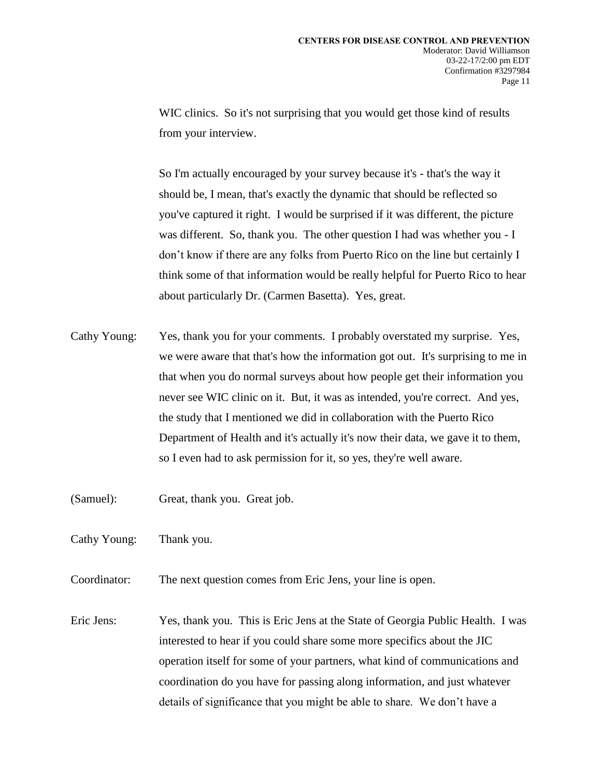WIC clinics. So it's not surprising that you would get those kind of results from your interview.

So I'm actually encouraged by your survey because it's - that's the way it should be, I mean, that's exactly the dynamic that should be reflected so you've captured it right. I would be surprised if it was different, the picture was different. So, thank you. The other question I had was whether you - I don't know if there are any folks from Puerto Rico on the line but certainly I think some of that information would be really helpful for Puerto Rico to hear about particularly Dr. (Carmen Basetta). Yes, great.

- Cathy Young: Yes, thank you for your comments. I probably overstated my surprise. Yes, we were aware that that's how the information got out. It's surprising to me in that when you do normal surveys about how people get their information you never see WIC clinic on it. But, it was as intended, you're correct. And yes, the study that I mentioned we did in collaboration with the Puerto Rico Department of Health and it's actually it's now their data, we gave it to them, so I even had to ask permission for it, so yes, they're well aware.
- (Samuel): Great, thank you. Great job.
- Cathy Young: Thank you.
- Coordinator: The next question comes from Eric Jens, your line is open.
- Eric Jens: Yes, thank you. This is Eric Jens at the State of Georgia Public Health. I was interested to hear if you could share some more specifics about the JIC operation itself for some of your partners, what kind of communications and coordination do you have for passing along information, and just whatever details of significance that you might be able to share. We don't have a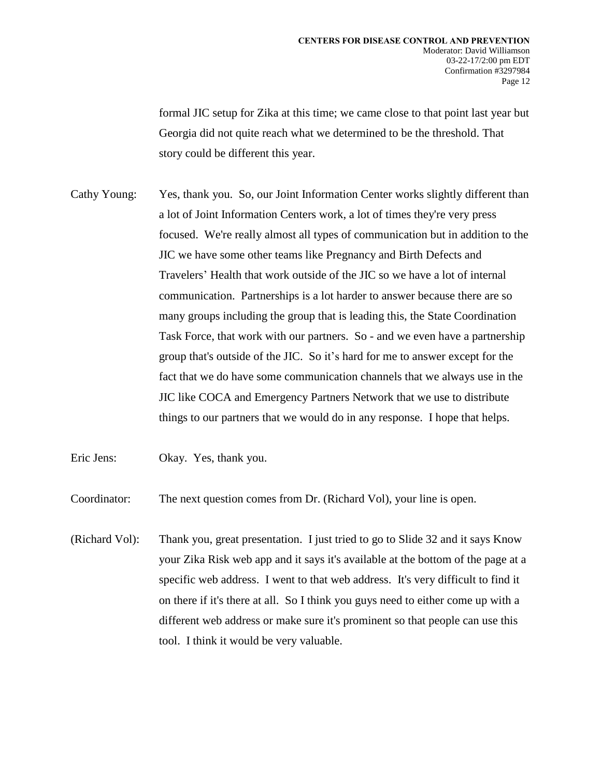formal JIC setup for Zika at this time; we came close to that point last year but Georgia did not quite reach what we determined to be the threshold. That story could be different this year.

Cathy Young: Yes, thank you. So, our Joint Information Center works slightly different than a lot of Joint Information Centers work, a lot of times they're very press focused. We're really almost all types of communication but in addition to the JIC we have some other teams like Pregnancy and Birth Defects and Travelers' Health that work outside of the JIC so we have a lot of internal communication. Partnerships is a lot harder to answer because there are so many groups including the group that is leading this, the State Coordination Task Force, that work with our partners. So - and we even have a partnership group that's outside of the JIC. So it's hard for me to answer except for the fact that we do have some communication channels that we always use in the JIC like COCA and Emergency Partners Network that we use to distribute things to our partners that we would do in any response. I hope that helps.

Eric Jens: Okay. Yes, thank you.

Coordinator: The next question comes from Dr. (Richard Vol), your line is open.

(Richard Vol): Thank you, great presentation. I just tried to go to Slide 32 and it says Know your Zika Risk web app and it says it's available at the bottom of the page at a specific web address. I went to that web address. It's very difficult to find it on there if it's there at all. So I think you guys need to either come up with a different web address or make sure it's prominent so that people can use this tool. I think it would be very valuable.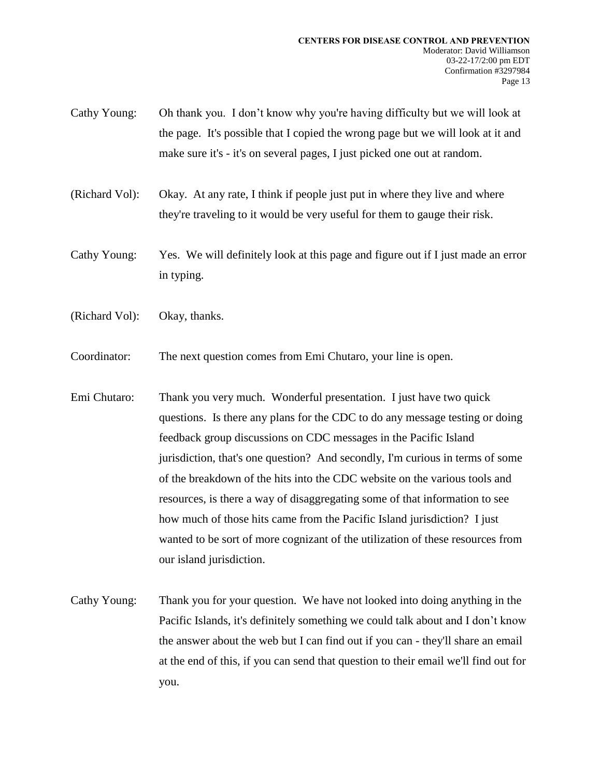- Cathy Young: Oh thank you. I don't know why you're having difficulty but we will look at the page. It's possible that I copied the wrong page but we will look at it and make sure it's - it's on several pages, I just picked one out at random.
- (Richard Vol): Okay. At any rate, I think if people just put in where they live and where they're traveling to it would be very useful for them to gauge their risk.
- Cathy Young: Yes. We will definitely look at this page and figure out if I just made an error in typing.
- (Richard Vol): Okay, thanks.
- Coordinator: The next question comes from Emi Chutaro, your line is open.
- Emi Chutaro: Thank you very much. Wonderful presentation. I just have two quick questions. Is there any plans for the CDC to do any message testing or doing feedback group discussions on CDC messages in the Pacific Island jurisdiction, that's one question? And secondly, I'm curious in terms of some of the breakdown of the hits into the CDC website on the various tools and resources, is there a way of disaggregating some of that information to see how much of those hits came from the Pacific Island jurisdiction? I just wanted to be sort of more cognizant of the utilization of these resources from our island jurisdiction.
- Cathy Young: Thank you for your question. We have not looked into doing anything in the Pacific Islands, it's definitely something we could talk about and I don't know the answer about the web but I can find out if you can - they'll share an email at the end of this, if you can send that question to their email we'll find out for you.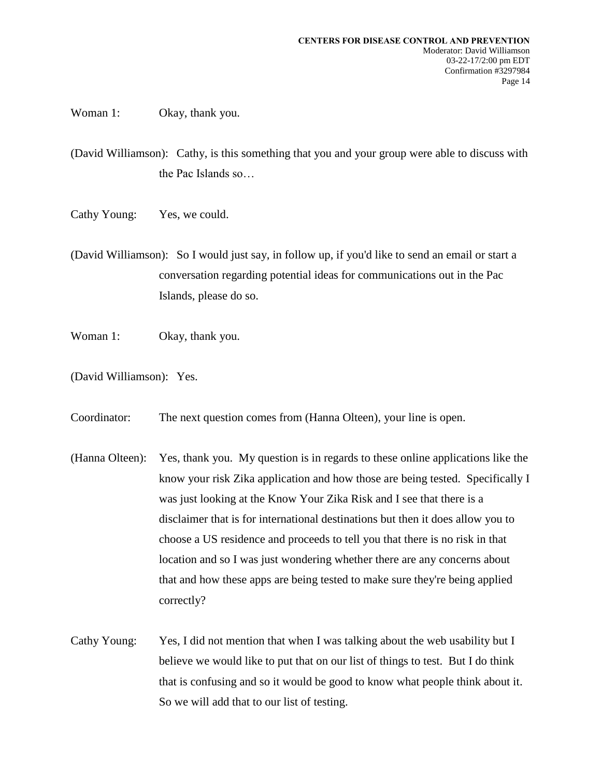Woman 1: Okay, thank you.

(David Williamson): Cathy, is this something that you and your group were able to discuss with the Pac Islands so…

- Cathy Young: Yes, we could.
- (David Williamson): So I would just say, in follow up, if you'd like to send an email or start a conversation regarding potential ideas for communications out in the Pac Islands, please do so.
- Woman 1: Okay, thank you.
- (David Williamson): Yes.
- Coordinator: The next question comes from (Hanna Olteen), your line is open.
- (Hanna Olteen): Yes, thank you. My question is in regards to these online applications like the know your risk Zika application and how those are being tested. Specifically I was just looking at the Know Your Zika Risk and I see that there is a disclaimer that is for international destinations but then it does allow you to choose a US residence and proceeds to tell you that there is no risk in that location and so I was just wondering whether there are any concerns about that and how these apps are being tested to make sure they're being applied correctly?
- Cathy Young: Yes, I did not mention that when I was talking about the web usability but I believe we would like to put that on our list of things to test. But I do think that is confusing and so it would be good to know what people think about it. So we will add that to our list of testing.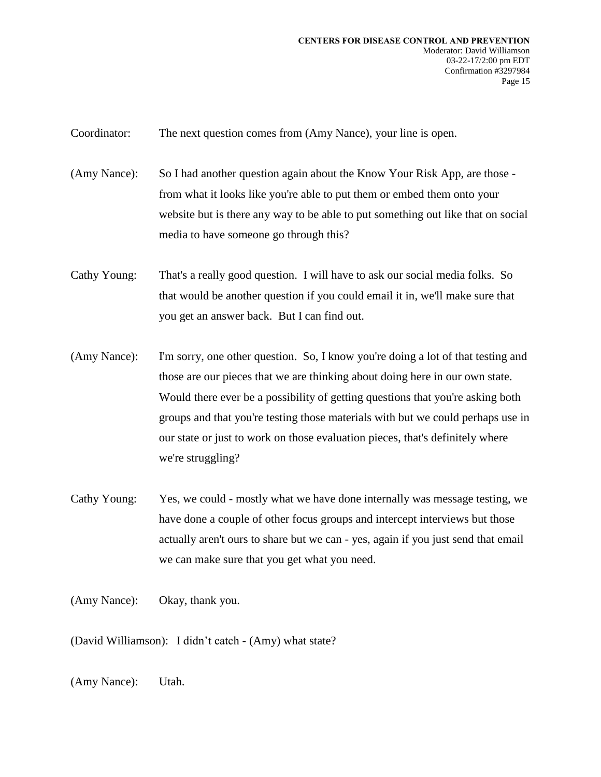Coordinator: The next question comes from (Amy Nance), your line is open.

(Amy Nance): So I had another question again about the Know Your Risk App, are those from what it looks like you're able to put them or embed them onto your website but is there any way to be able to put something out like that on social media to have someone go through this?

Cathy Young: That's a really good question. I will have to ask our social media folks. So that would be another question if you could email it in, we'll make sure that you get an answer back. But I can find out.

- (Amy Nance): I'm sorry, one other question. So, I know you're doing a lot of that testing and those are our pieces that we are thinking about doing here in our own state. Would there ever be a possibility of getting questions that you're asking both groups and that you're testing those materials with but we could perhaps use in our state or just to work on those evaluation pieces, that's definitely where we're struggling?
- Cathy Young: Yes, we could mostly what we have done internally was message testing, we have done a couple of other focus groups and intercept interviews but those actually aren't ours to share but we can - yes, again if you just send that email we can make sure that you get what you need.

(Amy Nance): Okay, thank you.

(David Williamson): I didn't catch - (Amy) what state?

(Amy Nance): Utah.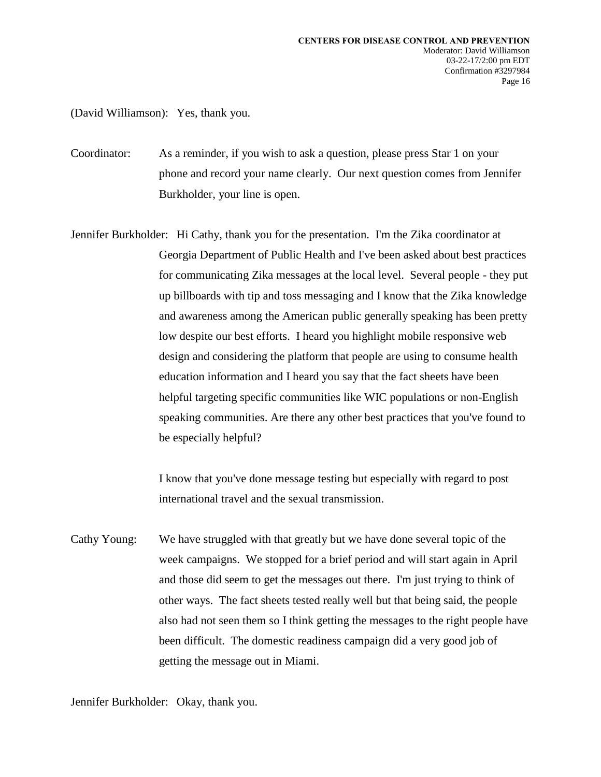(David Williamson): Yes, thank you.

Coordinator: As a reminder, if you wish to ask a question, please press Star 1 on your phone and record your name clearly. Our next question comes from Jennifer Burkholder, your line is open.

Jennifer Burkholder: Hi Cathy, thank you for the presentation. I'm the Zika coordinator at Georgia Department of Public Health and I've been asked about best practices for communicating Zika messages at the local level. Several people - they put up billboards with tip and toss messaging and I know that the Zika knowledge and awareness among the American public generally speaking has been pretty low despite our best efforts. I heard you highlight mobile responsive web design and considering the platform that people are using to consume health education information and I heard you say that the fact sheets have been helpful targeting specific communities like WIC populations or non-English speaking communities. Are there any other best practices that you've found to be especially helpful?

> I know that you've done message testing but especially with regard to post international travel and the sexual transmission.

Cathy Young: We have struggled with that greatly but we have done several topic of the week campaigns. We stopped for a brief period and will start again in April and those did seem to get the messages out there. I'm just trying to think of other ways. The fact sheets tested really well but that being said, the people also had not seen them so I think getting the messages to the right people have been difficult. The domestic readiness campaign did a very good job of getting the message out in Miami.

Jennifer Burkholder: Okay, thank you.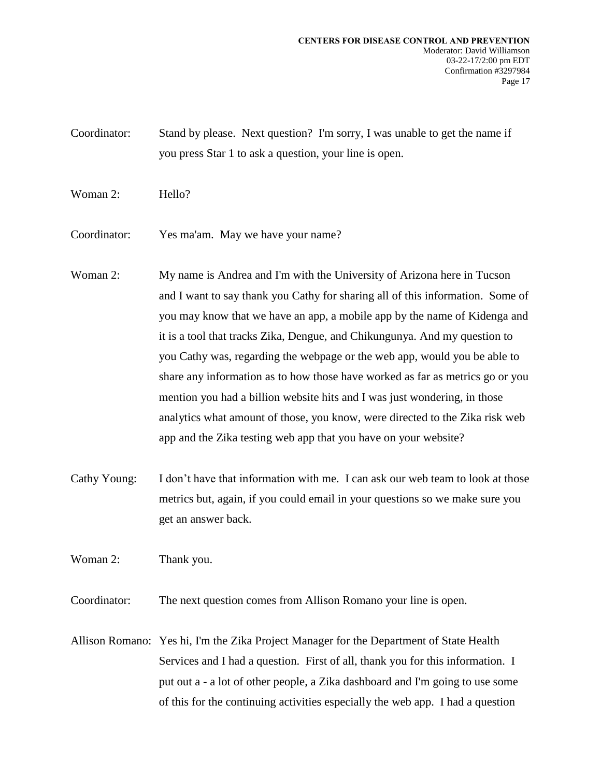Coordinator: Stand by please. Next question? I'm sorry, I was unable to get the name if you press Star 1 to ask a question, your line is open.

- Woman 2: Hello?
- Coordinator: Yes ma'am. May we have your name?
- Woman 2: My name is Andrea and I'm with the University of Arizona here in Tucson and I want to say thank you Cathy for sharing all of this information. Some of you may know that we have an app, a mobile app by the name of Kidenga and it is a tool that tracks Zika, Dengue, and Chikungunya. And my question to you Cathy was, regarding the webpage or the web app, would you be able to share any information as to how those have worked as far as metrics go or you mention you had a billion website hits and I was just wondering, in those analytics what amount of those, you know, were directed to the Zika risk web app and the Zika testing web app that you have on your website?
- Cathy Young: I don't have that information with me. I can ask our web team to look at those metrics but, again, if you could email in your questions so we make sure you get an answer back.

Woman 2: Thank you.

Coordinator: The next question comes from Allison Romano your line is open.

Allison Romano: Yes hi, I'm the Zika Project Manager for the Department of State Health Services and I had a question. First of all, thank you for this information. I put out a - a lot of other people, a Zika dashboard and I'm going to use some of this for the continuing activities especially the web app. I had a question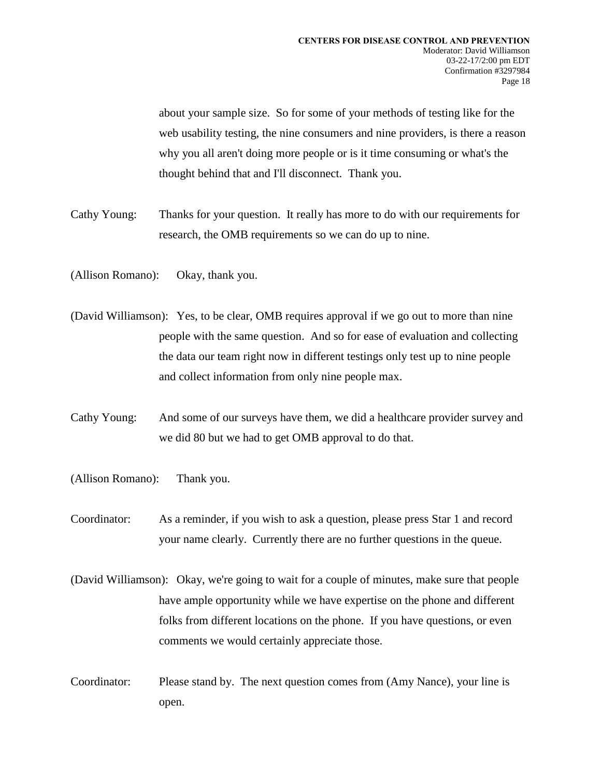about your sample size. So for some of your methods of testing like for the web usability testing, the nine consumers and nine providers, is there a reason why you all aren't doing more people or is it time consuming or what's the thought behind that and I'll disconnect. Thank you.

- Cathy Young: Thanks for your question. It really has more to do with our requirements for research, the OMB requirements so we can do up to nine.
- (Allison Romano): Okay, thank you.
- (David Williamson): Yes, to be clear, OMB requires approval if we go out to more than nine people with the same question. And so for ease of evaluation and collecting the data our team right now in different testings only test up to nine people and collect information from only nine people max.
- Cathy Young: And some of our surveys have them, we did a healthcare provider survey and we did 80 but we had to get OMB approval to do that.
- (Allison Romano): Thank you.
- Coordinator: As a reminder, if you wish to ask a question, please press Star 1 and record your name clearly. Currently there are no further questions in the queue.
- (David Williamson): Okay, we're going to wait for a couple of minutes, make sure that people have ample opportunity while we have expertise on the phone and different folks from different locations on the phone. If you have questions, or even comments we would certainly appreciate those.
- Coordinator: Please stand by. The next question comes from (Amy Nance), your line is open.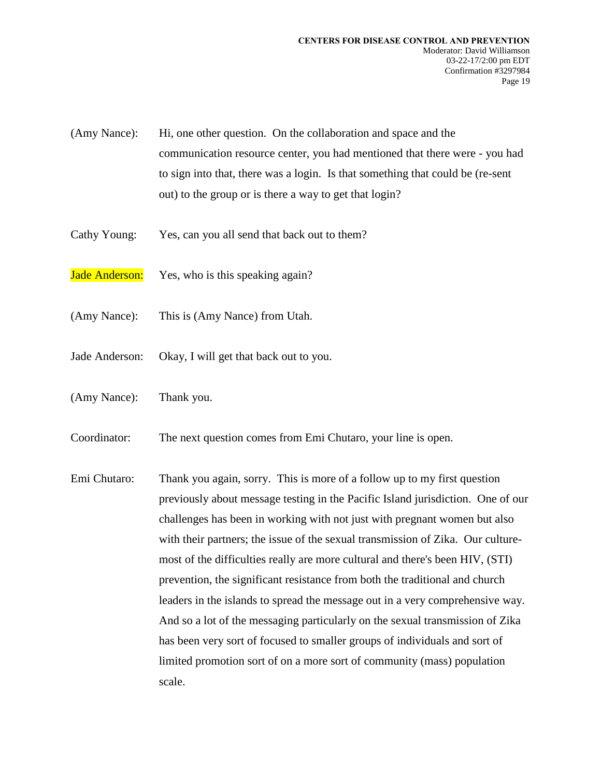- (Amy Nance): Hi, one other question. On the collaboration and space and the communication resource center, you had mentioned that there were - you had to sign into that, there was a login. Is that something that could be (re-sent out) to the group or is there a way to get that login?
- Cathy Young: Yes, can you all send that back out to them?
- Jade Anderson: Yes, who is this speaking again?
- (Amy Nance): This is (Amy Nance) from Utah.
- Jade Anderson: Okay, I will get that back out to you.
- (Amy Nance): Thank you.
- Coordinator: The next question comes from Emi Chutaro, your line is open.
- Emi Chutaro: Thank you again, sorry. This is more of a follow up to my first question previously about message testing in the Pacific Island jurisdiction. One of our challenges has been in working with not just with pregnant women but also with their partners; the issue of the sexual transmission of Zika. Our culturemost of the difficulties really are more cultural and there's been HIV, (STI) prevention, the significant resistance from both the traditional and church leaders in the islands to spread the message out in a very comprehensive way. And so a lot of the messaging particularly on the sexual transmission of Zika has been very sort of focused to smaller groups of individuals and sort of limited promotion sort of on a more sort of community (mass) population scale.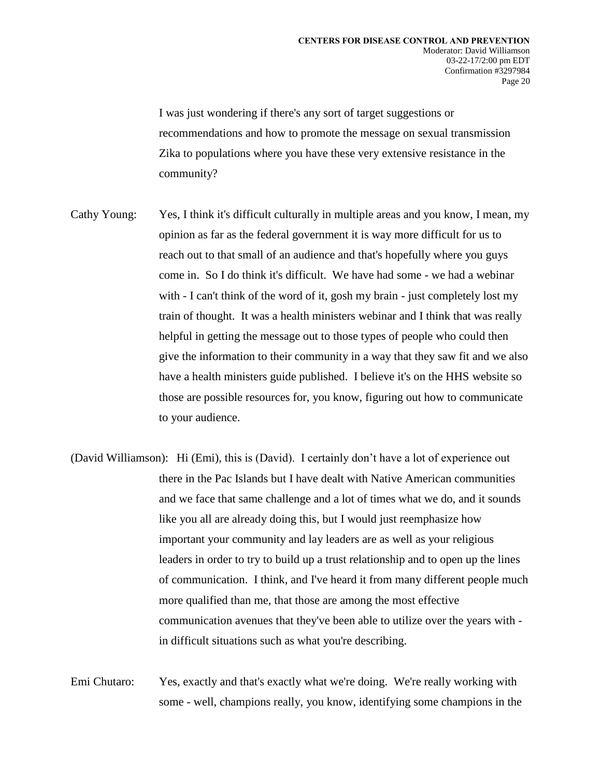I was just wondering if there's any sort of target suggestions or recommendations and how to promote the message on sexual transmission Zika to populations where you have these very extensive resistance in the community?

- Cathy Young: Yes, I think it's difficult culturally in multiple areas and you know, I mean, my opinion as far as the federal government it is way more difficult for us to reach out to that small of an audience and that's hopefully where you guys come in. So I do think it's difficult. We have had some - we had a webinar with - I can't think of the word of it, gosh my brain - just completely lost my train of thought. It was a health ministers webinar and I think that was really helpful in getting the message out to those types of people who could then give the information to their community in a way that they saw fit and we also have a health ministers guide published. I believe it's on the HHS website so those are possible resources for, you know, figuring out how to communicate to your audience.
- (David Williamson): Hi (Emi), this is (David). I certainly don't have a lot of experience out there in the Pac Islands but I have dealt with Native American communities and we face that same challenge and a lot of times what we do, and it sounds like you all are already doing this, but I would just reemphasize how important your community and lay leaders are as well as your religious leaders in order to try to build up a trust relationship and to open up the lines of communication. I think, and I've heard it from many different people much more qualified than me, that those are among the most effective communication avenues that they've been able to utilize over the years with in difficult situations such as what you're describing.

Emi Chutaro: Yes, exactly and that's exactly what we're doing. We're really working with some - well, champions really, you know, identifying some champions in the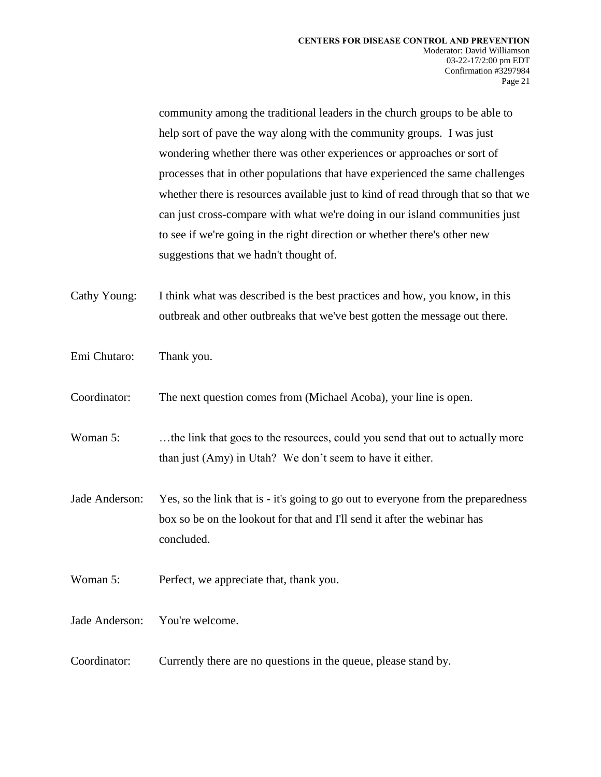community among the traditional leaders in the church groups to be able to help sort of pave the way along with the community groups. I was just wondering whether there was other experiences or approaches or sort of processes that in other populations that have experienced the same challenges whether there is resources available just to kind of read through that so that we can just cross-compare with what we're doing in our island communities just to see if we're going in the right direction or whether there's other new suggestions that we hadn't thought of.

Cathy Young: I think what was described is the best practices and how, you know, in this outbreak and other outbreaks that we've best gotten the message out there.

Emi Chutaro: Thank you.

Coordinator: The next question comes from (Michael Acoba), your line is open.

Woman 5: ... the link that goes to the resources, could you send that out to actually more than just (Amy) in Utah? We don't seem to have it either.

- Jade Anderson: Yes, so the link that is it's going to go out to everyone from the preparedness box so be on the lookout for that and I'll send it after the webinar has concluded.
- Woman 5: Perfect, we appreciate that, thank you.

Jade Anderson: You're welcome.

Coordinator: Currently there are no questions in the queue, please stand by.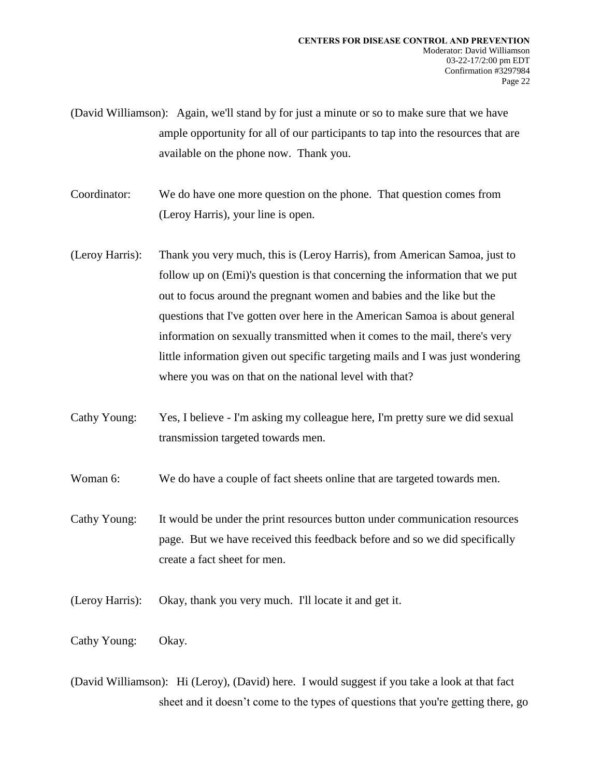(David Williamson): Again, we'll stand by for just a minute or so to make sure that we have ample opportunity for all of our participants to tap into the resources that are available on the phone now. Thank you.

Coordinator: We do have one more question on the phone. That question comes from (Leroy Harris), your line is open.

- (Leroy Harris): Thank you very much, this is (Leroy Harris), from American Samoa, just to follow up on (Emi)'s question is that concerning the information that we put out to focus around the pregnant women and babies and the like but the questions that I've gotten over here in the American Samoa is about general information on sexually transmitted when it comes to the mail, there's very little information given out specific targeting mails and I was just wondering where you was on that on the national level with that?
- Cathy Young: Yes, I believe I'm asking my colleague here, I'm pretty sure we did sexual transmission targeted towards men.

Woman 6: We do have a couple of fact sheets online that are targeted towards men.

Cathy Young: It would be under the print resources button under communication resources page. But we have received this feedback before and so we did specifically create a fact sheet for men.

(Leroy Harris): Okay, thank you very much. I'll locate it and get it.

Cathy Young: Okay.

(David Williamson): Hi (Leroy), (David) here. I would suggest if you take a look at that fact sheet and it doesn't come to the types of questions that you're getting there, go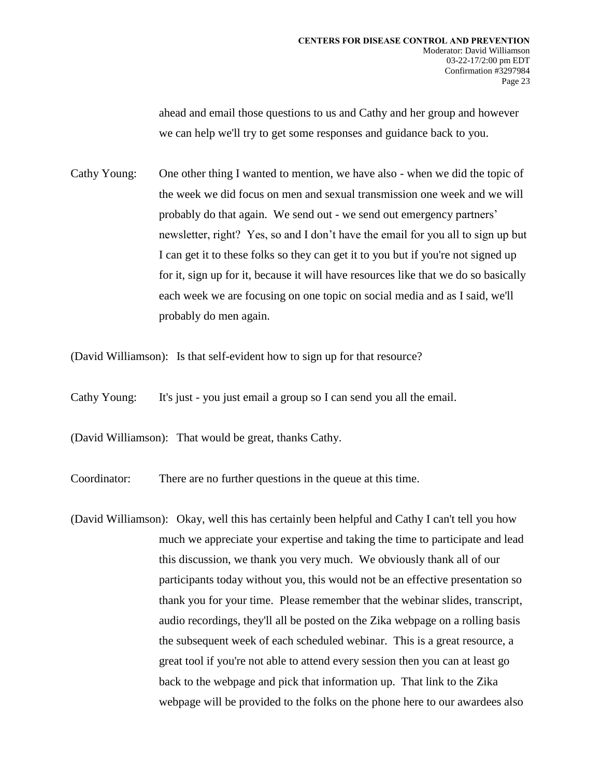ahead and email those questions to us and Cathy and her group and however we can help we'll try to get some responses and guidance back to you.

Cathy Young: One other thing I wanted to mention, we have also - when we did the topic of the week we did focus on men and sexual transmission one week and we will probably do that again. We send out - we send out emergency partners' newsletter, right? Yes, so and I don't have the email for you all to sign up but I can get it to these folks so they can get it to you but if you're not signed up for it, sign up for it, because it will have resources like that we do so basically each week we are focusing on one topic on social media and as I said, we'll probably do men again.

(David Williamson): Is that self-evident how to sign up for that resource?

Cathy Young: It's just - you just email a group so I can send you all the email.

(David Williamson): That would be great, thanks Cathy.

Coordinator: There are no further questions in the queue at this time.

(David Williamson): Okay, well this has certainly been helpful and Cathy I can't tell you how much we appreciate your expertise and taking the time to participate and lead this discussion, we thank you very much. We obviously thank all of our participants today without you, this would not be an effective presentation so thank you for your time. Please remember that the webinar slides, transcript, audio recordings, they'll all be posted on the Zika webpage on a rolling basis the subsequent week of each scheduled webinar. This is a great resource, a great tool if you're not able to attend every session then you can at least go back to the webpage and pick that information up. That link to the Zika webpage will be provided to the folks on the phone here to our awardees also